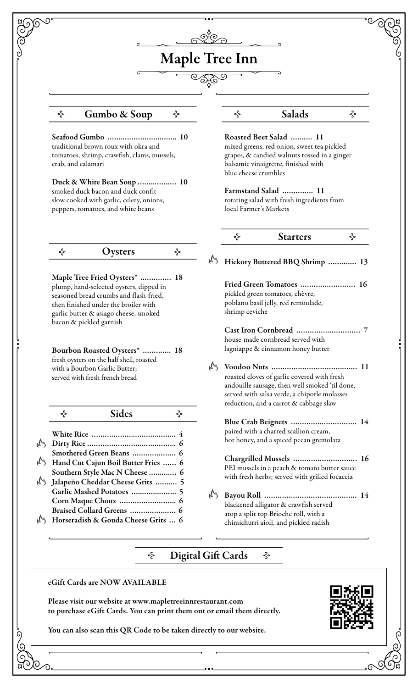# Maple Tree Inn

#### Gumbo & Soup  $\Diamond$   $\Diamond$  Salads ⊰∘

Seafood Gumbo …….……………..…….. 10 traditional brown roux with okra and tomatoes, shrimp, crawfish, clams, mussels, crab, and calamari

Duck & White Bean Soup ……..…….… 10 smoked duck bacon and duck confit slow cooked with garlic, celery, onions, peppers, tomatoes, and white beans

 $\prec$ ⊰∘ **Oysters** 

Maple Tree Fried Oysters\* ..………… 18 plump, hand-selected oysters, dipped in seasoned bread crumbs and flash-fried, then finished under the broiler with garlic butter & asiago cheese, smoked bacon & pickled garnish

Bourbon Roasted Oysters\* .…….….. 18 fresh oysters on the half shell, roasted with a Bourbon Garlic Butter; served with fresh french bread

| Sides<br><ο                         |
|-------------------------------------|
|                                     |
|                                     |
| Smothered Green Beans  6            |
| Hand Cut Cajun Boil Butter Fries  6 |
| Southern Style Mac N Cheese  6      |
| Jalapeño Cheddar Cheese Grits  5    |
| Garlic Mashed Potatoes  5           |
|                                     |
| Braised Collard Greens  6           |
| Horseradish & Gouda Cheese Grits  6 |
|                                     |

## ⊰∘

Roasted Beet Salad …..….. 11 mixed greens, red onion, sweet tea pickled grapes, & candied walnuts tossed in a ginger balsamic vinaigrette, finished with blue cheese crumbles

Farmstand Salad ………….. 11 rotating salad with fresh ingredients from local Farmer's Markets

| <b>Starters</b> |  |
|-----------------|--|
|                 |  |

Hickory Buttered BBQ Shrimp ……….… 13 Fried Green Tomatoes ..………..………… 16 pickled green tomatoes, chèvre, poblano basil jelly, red remoulade,

shrimp ceviche

Cast Iron Cornbread …………..…………… 7 house-made cornbread served with lagniappe & cinnamon honey butter

Voodoo Nuts ………….……………….….… 11 roasted cloves of garlic covered with fresh andouille sausage, then well smoked 'til done, served with salsa verde, a chipotle molasses reduction, and a carrot & cabbage slaw

Blue Crab Beignets …………..………….… 14 paired with a charred scallion cream, hot honey, and a spiced pecan gremolata

Chargrilled Mussels ………….………….… 16 PEI mussels in a peach & tomato butter sauce with fresh herbs; served with grilled focaccia

Bayou Roll ………….………………….….… 14 blackened alligator & crawfish served atop a split top Brioche roll, with a chimichurri aioli, and pickled radish

#### ⊰∘ Digital Gift Cards ⊰∘

eGift Cards are NOW AVAILABLE

Please visit our website at www.mapletreeinnrestaurant.com to purchase eGift Cards. You can print them out or email them directly.

You can also scan this QR Code to be taken directly to our website.